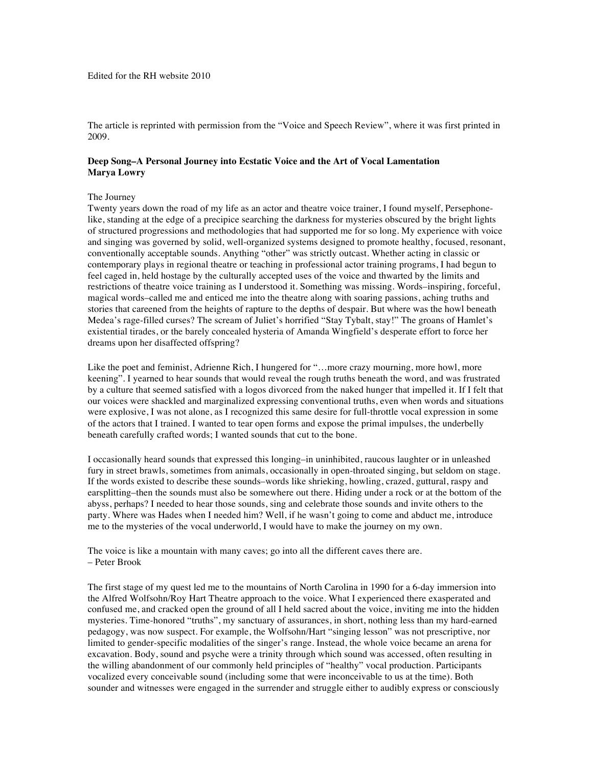The article is reprinted with permission from the "Voice and Speech Review", where it was first printed in 2009.

## **Deep Song–A Personal Journey into Ecstatic Voice and the Art of Vocal Lamentation Marya Lowry**

# The Journey

Twenty years down the road of my life as an actor and theatre voice trainer, I found myself, Persephonelike, standing at the edge of a precipice searching the darkness for mysteries obscured by the bright lights of structured progressions and methodologies that had supported me for so long. My experience with voice and singing was governed by solid, well-organized systems designed to promote healthy, focused, resonant, conventionally acceptable sounds. Anything "other" was strictly outcast. Whether acting in classic or contemporary plays in regional theatre or teaching in professional actor training programs, I had begun to feel caged in, held hostage by the culturally accepted uses of the voice and thwarted by the limits and restrictions of theatre voice training as I understood it. Something was missing. Words–inspiring, forceful, magical words–called me and enticed me into the theatre along with soaring passions, aching truths and stories that careened from the heights of rapture to the depths of despair. But where was the howl beneath Medea's rage-filled curses? The scream of Juliet's horrified "Stay Tybalt, stay!" The groans of Hamlet's existential tirades, or the barely concealed hysteria of Amanda Wingfield's desperate effort to force her dreams upon her disaffected offspring?

Like the poet and feminist, Adrienne Rich, I hungered for "…more crazy mourning, more howl, more keening". I yearned to hear sounds that would reveal the rough truths beneath the word, and was frustrated by a culture that seemed satisfied with a logos divorced from the naked hunger that impelled it. If I felt that our voices were shackled and marginalized expressing conventional truths, even when words and situations were explosive, I was not alone, as I recognized this same desire for full-throttle vocal expression in some of the actors that I trained. I wanted to tear open forms and expose the primal impulses, the underbelly beneath carefully crafted words; I wanted sounds that cut to the bone.

I occasionally heard sounds that expressed this longing–in uninhibited, raucous laughter or in unleashed fury in street brawls, sometimes from animals, occasionally in open-throated singing, but seldom on stage. If the words existed to describe these sounds–words like shrieking, howling, crazed, guttural, raspy and earsplitting–then the sounds must also be somewhere out there. Hiding under a rock or at the bottom of the abyss, perhaps? I needed to hear those sounds, sing and celebrate those sounds and invite others to the party. Where was Hades when I needed him? Well, if he wasn't going to come and abduct me, introduce me to the mysteries of the vocal underworld, I would have to make the journey on my own.

The voice is like a mountain with many caves; go into all the different caves there are. – Peter Brook

The first stage of my quest led me to the mountains of North Carolina in 1990 for a 6-day immersion into the Alfred Wolfsohn/Roy Hart Theatre approach to the voice. What I experienced there exasperated and confused me, and cracked open the ground of all I held sacred about the voice, inviting me into the hidden mysteries. Time-honored "truths", my sanctuary of assurances, in short, nothing less than my hard-earned pedagogy, was now suspect. For example, the Wolfsohn/Hart "singing lesson" was not prescriptive, nor limited to gender-specific modalities of the singer's range. Instead, the whole voice became an arena for excavation. Body, sound and psyche were a trinity through which sound was accessed, often resulting in the willing abandonment of our commonly held principles of "healthy" vocal production. Participants vocalized every conceivable sound (including some that were inconceivable to us at the time). Both sounder and witnesses were engaged in the surrender and struggle either to audibly express or consciously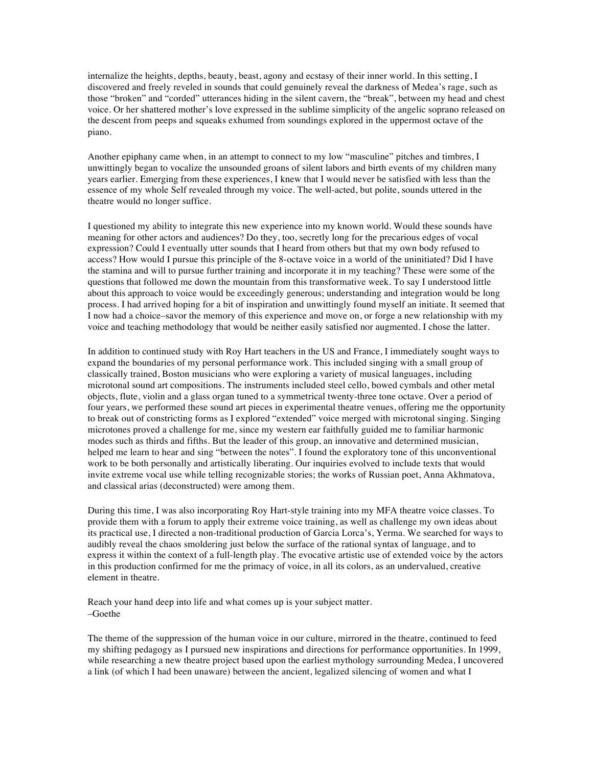internalize the heights, depths, beauty, beast, agony and ecstasy of their inner world. In this setting, I discovered and freely reveled in sounds that could genuinely reveal the darkness of Medea's rage, such as those "broken" and "corded" utterances hiding in the silent cavern, the "break", between my head and chest voice. Or her shattered mother's love expressed in the sublime simplicity of the angelic soprano released on the descent from peeps and squeaks exhumed from soundings explored in the uppermost octave of the piano.

Another epiphany came when, in an attempt to connect to my low "masculine" pitches and timbres, I unwittingly began to vocalize the unsounded groans of silent labors and birth events of my children many years earlier. Emerging from these experiences, I knew that I would never be satisfied with less than the essence of my whole Self revealed through my voice. The well-acted, but polite, sounds uttered in the theatre would no longer suffice.

I questioned my ability to integrate this new experience into my known world. Would these sounds have meaning for other actors and audiences? Do they, too, secretly long for the precarious edges of vocal expression? Could I eventually utter sounds that I heard from others but that my own body refused to access? How would I pursue this principle of the 8-octave voice in a world of the uninitiated? Did I have the stamina and will to pursue further training and incorporate it in my teaching? These were some of the questions that followed me down the mountain from this transformative week. To say I understood little about this approach to voice would be exceedingly generous; understanding and integration would be long process. I had arrived hoping for a bit of inspiration and unwittingly found myself an initiate. It seemed that I now had a choice–savor the memory of this experience and move on, or forge a new relationship with my voice and teaching methodology that would be neither easily satisfied nor augmented. I chose the latter.

In addition to continued study with Roy Hart teachers in the US and France, I immediately sought ways to expand the boundaries of my personal performance work. This included singing with a small group of classically trained, Boston musicians who were exploring a variety of musical languages, including microtonal sound art compositions. The instruments included steel cello, bowed cymbals and other metal objects, flute, violin and a glass organ tuned to a symmetrical twenty-three tone octave. Over a period of four years, we performed these sound art pieces in experimental theatre venues, offering me the opportunity to break out of constricting forms as I explored "extended" voice merged with microtonal singing. Singing microtones proved a challenge for me, since my western ear faithfully guided me to familiar harmonic modes such as thirds and fifths. But the leader of this group, an innovative and determined musician, helped me learn to hear and sing "between the notes". I found the exploratory tone of this unconventional work to be both personally and artistically liberating. Our inquiries evolved to include texts that would invite extreme vocal use while telling recognizable stories; the works of Russian poet, Anna Akhmatova, and classical arias (deconstructed) were among them.

During this time, I was also incorporating Roy Hart-style training into my MFA theatre voice classes. To provide them with a forum to apply their extreme voice training, as well as challenge my own ideas about its practical use, I directed a non-traditional production of Garcia Lorca's, Yerma. We searched for ways to audibly reveal the chaos smoldering just below the surface of the rational syntax of language, and to express it within the context of a full-length play. The evocative artistic use of extended voice by the actors in this production confirmed for me the primacy of voice, in all its colors, as an undervalued, creative element in theatre.

Reach your hand deep into life and what comes up is your subject matter. –Goethe

The theme of the suppression of the human voice in our culture, mirrored in the theatre, continued to feed my shifting pedagogy as I pursued new inspirations and directions for performance opportunities. In 1999, while researching a new theatre project based upon the earliest mythology surrounding Medea, I uncovered a link (of which I had been unaware) between the ancient, legalized silencing of women and what I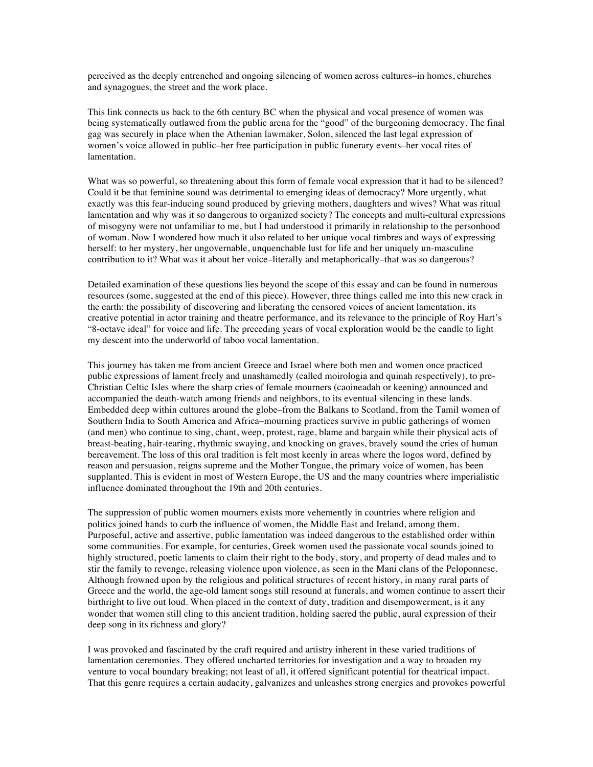perceived as the deeply entrenched and ongoing silencing of women across cultures–in homes, churches and synagogues, the street and the work place.

This link connects us back to the 6th century BC when the physical and vocal presence of women was being systematically outlawed from the public arena for the "good" of the burgeoning democracy. The final gag was securely in place when the Athenian lawmaker, Solon, silenced the last legal expression of women's voice allowed in public–her free participation in public funerary events–her vocal rites of lamentation.

What was so powerful, so threatening about this form of female vocal expression that it had to be silenced? Could it be that feminine sound was detrimental to emerging ideas of democracy? More urgently, what exactly was this fear-inducing sound produced by grieving mothers, daughters and wives? What was ritual lamentation and why was it so dangerous to organized society? The concepts and multi-cultural expressions of misogyny were not unfamiliar to me, but I had understood it primarily in relationship to the personhood of woman. Now I wondered how much it also related to her unique vocal timbres and ways of expressing herself: to her mystery, her ungovernable, unquenchable lust for life and her uniquely un-masculine contribution to it? What was it about her voice–literally and metaphorically–that was so dangerous?

Detailed examination of these questions lies beyond the scope of this essay and can be found in numerous resources (some, suggested at the end of this piece). However, three things called me into this new crack in the earth: the possibility of discovering and liberating the censored voices of ancient lamentation, its creative potential in actor training and theatre performance, and its relevance to the principle of Roy Hart's "8-octave ideal" for voice and life. The preceding years of vocal exploration would be the candle to light my descent into the underworld of taboo vocal lamentation.

This journey has taken me from ancient Greece and Israel where both men and women once practiced public expressions of lament freely and unashamedly (called moirologia and quinah respectively), to pre-Christian Celtic Isles where the sharp cries of female mourners (caoineadah or keening) announced and accompanied the death-watch among friends and neighbors, to its eventual silencing in these lands. Embedded deep within cultures around the globe–from the Balkans to Scotland, from the Tamil women of Southern India to South America and Africa–mourning practices survive in public gatherings of women (and men) who continue to sing, chant, weep, protest, rage, blame and bargain while their physical acts of breast-beating, hair-tearing, rhythmic swaying, and knocking on graves, bravely sound the cries of human bereavement. The loss of this oral tradition is felt most keenly in areas where the logos word, defined by reason and persuasion, reigns supreme and the Mother Tongue, the primary voice of women, has been supplanted. This is evident in most of Western Europe, the US and the many countries where imperialistic influence dominated throughout the 19th and 20th centuries.

The suppression of public women mourners exists more vehemently in countries where religion and politics joined hands to curb the influence of women, the Middle East and Ireland, among them. Purposeful, active and assertive, public lamentation was indeed dangerous to the established order within some communities. For example, for centuries, Greek women used the passionate vocal sounds joined to highly structured, poetic laments to claim their right to the body, story, and property of dead males and to stir the family to revenge, releasing violence upon violence, as seen in the Mani clans of the Peloponnese. Although frowned upon by the religious and political structures of recent history, in many rural parts of Greece and the world, the age-old lament songs still resound at funerals, and women continue to assert their birthright to live out loud. When placed in the context of duty, tradition and disempowerment, is it any wonder that women still cling to this ancient tradition, holding sacred the public, aural expression of their deep song in its richness and glory?

I was provoked and fascinated by the craft required and artistry inherent in these varied traditions of lamentation ceremonies. They offered uncharted territories for investigation and a way to broaden my venture to vocal boundary breaking; not least of all, it offered significant potential for theatrical impact. That this genre requires a certain audacity, galvanizes and unleashes strong energies and provokes powerful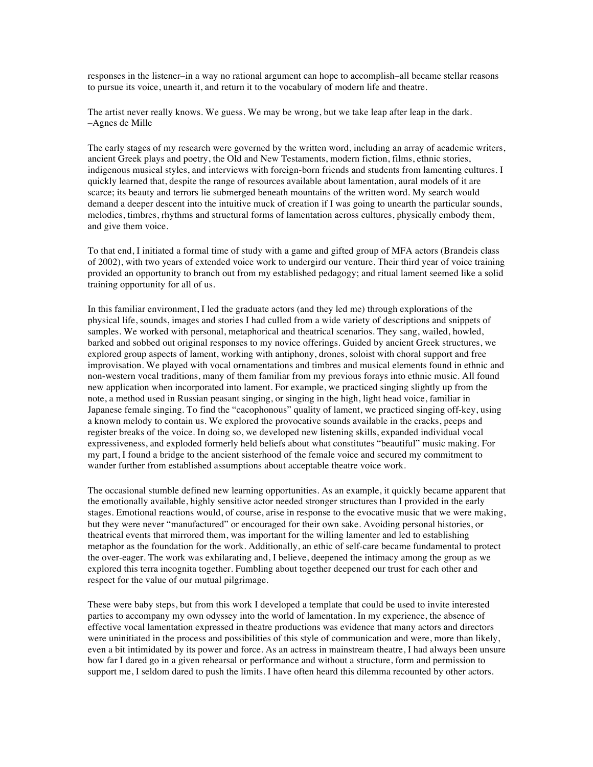responses in the listener–in a way no rational argument can hope to accomplish–all became stellar reasons to pursue its voice, unearth it, and return it to the vocabulary of modern life and theatre.

The artist never really knows. We guess. We may be wrong, but we take leap after leap in the dark. –Agnes de Mille

The early stages of my research were governed by the written word, including an array of academic writers, ancient Greek plays and poetry, the Old and New Testaments, modern fiction, films, ethnic stories, indigenous musical styles, and interviews with foreign-born friends and students from lamenting cultures. I quickly learned that, despite the range of resources available about lamentation, aural models of it are scarce; its beauty and terrors lie submerged beneath mountains of the written word. My search would demand a deeper descent into the intuitive muck of creation if I was going to unearth the particular sounds, melodies, timbres, rhythms and structural forms of lamentation across cultures, physically embody them, and give them voice.

To that end, I initiated a formal time of study with a game and gifted group of MFA actors (Brandeis class of 2002), with two years of extended voice work to undergird our venture. Their third year of voice training provided an opportunity to branch out from my established pedagogy; and ritual lament seemed like a solid training opportunity for all of us.

In this familiar environment, I led the graduate actors (and they led me) through explorations of the physical life, sounds, images and stories I had culled from a wide variety of descriptions and snippets of samples. We worked with personal, metaphorical and theatrical scenarios. They sang, wailed, howled, barked and sobbed out original responses to my novice offerings. Guided by ancient Greek structures, we explored group aspects of lament, working with antiphony, drones, soloist with choral support and free improvisation. We played with vocal ornamentations and timbres and musical elements found in ethnic and non-western vocal traditions, many of them familiar from my previous forays into ethnic music. All found new application when incorporated into lament. For example, we practiced singing slightly up from the note, a method used in Russian peasant singing, or singing in the high, light head voice, familiar in Japanese female singing. To find the "cacophonous" quality of lament, we practiced singing off-key, using a known melody to contain us. We explored the provocative sounds available in the cracks, peeps and register breaks of the voice. In doing so, we developed new listening skills, expanded individual vocal expressiveness, and exploded formerly held beliefs about what constitutes "beautiful" music making. For my part, I found a bridge to the ancient sisterhood of the female voice and secured my commitment to wander further from established assumptions about acceptable theatre voice work.

The occasional stumble defined new learning opportunities. As an example, it quickly became apparent that the emotionally available, highly sensitive actor needed stronger structures than I provided in the early stages. Emotional reactions would, of course, arise in response to the evocative music that we were making, but they were never "manufactured" or encouraged for their own sake. Avoiding personal histories, or theatrical events that mirrored them, was important for the willing lamenter and led to establishing metaphor as the foundation for the work. Additionally, an ethic of self-care became fundamental to protect the over-eager. The work was exhilarating and, I believe, deepened the intimacy among the group as we explored this terra incognita together. Fumbling about together deepened our trust for each other and respect for the value of our mutual pilgrimage.

These were baby steps, but from this work I developed a template that could be used to invite interested parties to accompany my own odyssey into the world of lamentation. In my experience, the absence of effective vocal lamentation expressed in theatre productions was evidence that many actors and directors were uninitiated in the process and possibilities of this style of communication and were, more than likely, even a bit intimidated by its power and force. As an actress in mainstream theatre, I had always been unsure how far I dared go in a given rehearsal or performance and without a structure, form and permission to support me, I seldom dared to push the limits. I have often heard this dilemma recounted by other actors.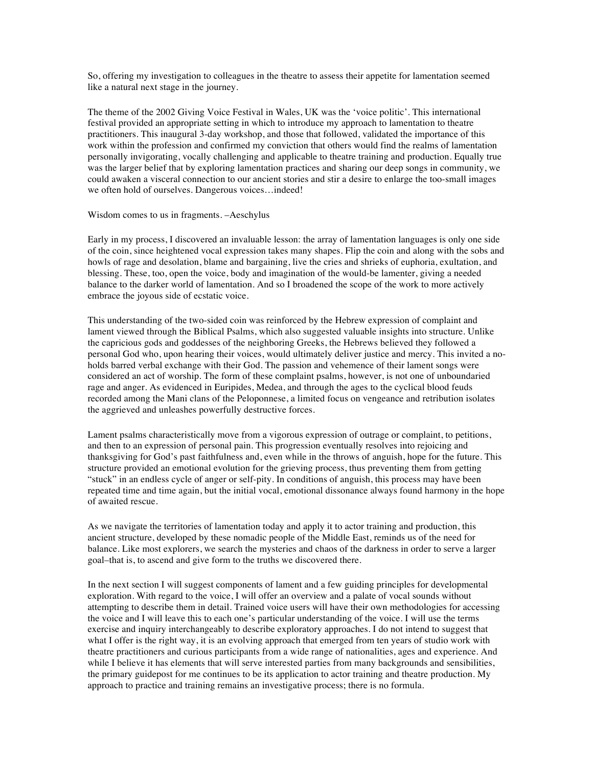So, offering my investigation to colleagues in the theatre to assess their appetite for lamentation seemed like a natural next stage in the journey.

The theme of the 2002 Giving Voice Festival in Wales, UK was the 'voice politic'. This international festival provided an appropriate setting in which to introduce my approach to lamentation to theatre practitioners. This inaugural 3-day workshop, and those that followed, validated the importance of this work within the profession and confirmed my conviction that others would find the realms of lamentation personally invigorating, vocally challenging and applicable to theatre training and production. Equally true was the larger belief that by exploring lamentation practices and sharing our deep songs in community, we could awaken a visceral connection to our ancient stories and stir a desire to enlarge the too-small images we often hold of ourselves. Dangerous voices…indeed!

## Wisdom comes to us in fragments. –Aeschylus

Early in my process, I discovered an invaluable lesson: the array of lamentation languages is only one side of the coin, since heightened vocal expression takes many shapes. Flip the coin and along with the sobs and howls of rage and desolation, blame and bargaining, live the cries and shrieks of euphoria, exultation, and blessing. These, too, open the voice, body and imagination of the would-be lamenter, giving a needed balance to the darker world of lamentation. And so I broadened the scope of the work to more actively embrace the joyous side of ecstatic voice.

This understanding of the two-sided coin was reinforced by the Hebrew expression of complaint and lament viewed through the Biblical Psalms, which also suggested valuable insights into structure. Unlike the capricious gods and goddesses of the neighboring Greeks, the Hebrews believed they followed a personal God who, upon hearing their voices, would ultimately deliver justice and mercy. This invited a noholds barred verbal exchange with their God. The passion and vehemence of their lament songs were considered an act of worship. The form of these complaint psalms, however, is not one of unboundaried rage and anger. As evidenced in Euripides, Medea, and through the ages to the cyclical blood feuds recorded among the Mani clans of the Peloponnese, a limited focus on vengeance and retribution isolates the aggrieved and unleashes powerfully destructive forces.

Lament psalms characteristically move from a vigorous expression of outrage or complaint, to petitions, and then to an expression of personal pain. This progression eventually resolves into rejoicing and thanksgiving for God's past faithfulness and, even while in the throws of anguish, hope for the future. This structure provided an emotional evolution for the grieving process, thus preventing them from getting "stuck" in an endless cycle of anger or self-pity. In conditions of anguish, this process may have been repeated time and time again, but the initial vocal, emotional dissonance always found harmony in the hope of awaited rescue.

As we navigate the territories of lamentation today and apply it to actor training and production, this ancient structure, developed by these nomadic people of the Middle East, reminds us of the need for balance. Like most explorers, we search the mysteries and chaos of the darkness in order to serve a larger goal–that is, to ascend and give form to the truths we discovered there.

In the next section I will suggest components of lament and a few guiding principles for developmental exploration. With regard to the voice, I will offer an overview and a palate of vocal sounds without attempting to describe them in detail. Trained voice users will have their own methodologies for accessing the voice and I will leave this to each one's particular understanding of the voice. I will use the terms exercise and inquiry interchangeably to describe exploratory approaches. I do not intend to suggest that what I offer is the right way, it is an evolving approach that emerged from ten years of studio work with theatre practitioners and curious participants from a wide range of nationalities, ages and experience. And while I believe it has elements that will serve interested parties from many backgrounds and sensibilities, the primary guidepost for me continues to be its application to actor training and theatre production. My approach to practice and training remains an investigative process; there is no formula.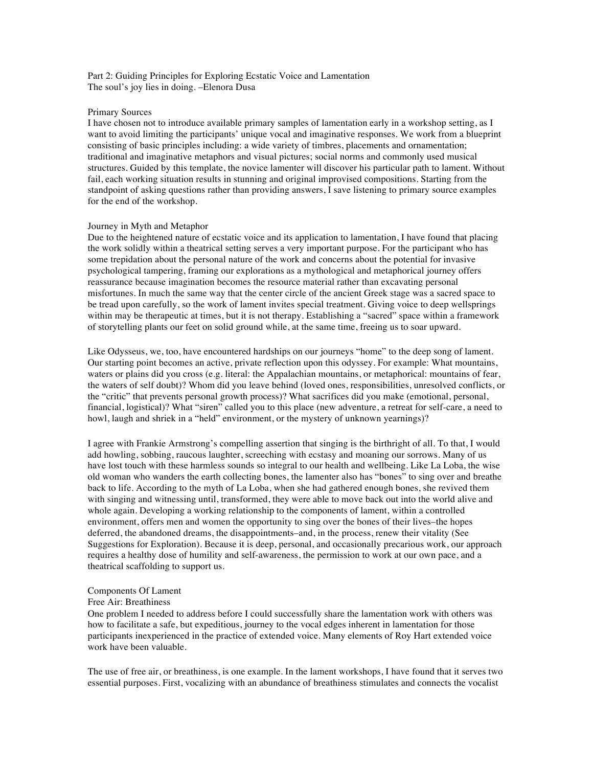Part 2: Guiding Principles for Exploring Ecstatic Voice and Lamentation The soul's joy lies in doing. –Elenora Dusa

## Primary Sources

I have chosen not to introduce available primary samples of lamentation early in a workshop setting, as I want to avoid limiting the participants' unique vocal and imaginative responses. We work from a blueprint consisting of basic principles including: a wide variety of timbres, placements and ornamentation; traditional and imaginative metaphors and visual pictures; social norms and commonly used musical structures. Guided by this template, the novice lamenter will discover his particular path to lament. Without fail, each working situation results in stunning and original improvised compositions. Starting from the standpoint of asking questions rather than providing answers, I save listening to primary source examples for the end of the workshop.

### Journey in Myth and Metaphor

Due to the heightened nature of ecstatic voice and its application to lamentation, I have found that placing the work solidly within a theatrical setting serves a very important purpose. For the participant who has some trepidation about the personal nature of the work and concerns about the potential for invasive psychological tampering, framing our explorations as a mythological and metaphorical journey offers reassurance because imagination becomes the resource material rather than excavating personal misfortunes. In much the same way that the center circle of the ancient Greek stage was a sacred space to be tread upon carefully, so the work of lament invites special treatment. Giving voice to deep wellsprings within may be therapeutic at times, but it is not therapy. Establishing a "sacred" space within a framework of storytelling plants our feet on solid ground while, at the same time, freeing us to soar upward.

Like Odysseus, we, too, have encountered hardships on our journeys "home" to the deep song of lament. Our starting point becomes an active, private reflection upon this odyssey. For example: What mountains, waters or plains did you cross (e.g. literal: the Appalachian mountains, or metaphorical: mountains of fear, the waters of self doubt)? Whom did you leave behind (loved ones, responsibilities, unresolved conflicts, or the "critic" that prevents personal growth process)? What sacrifices did you make (emotional, personal, financial, logistical)? What "siren" called you to this place (new adventure, a retreat for self-care, a need to howl, laugh and shriek in a "held" environment, or the mystery of unknown yearnings)?

I agree with Frankie Armstrong's compelling assertion that singing is the birthright of all. To that, I would add howling, sobbing, raucous laughter, screeching with ecstasy and moaning our sorrows. Many of us have lost touch with these harmless sounds so integral to our health and wellbeing. Like La Loba, the wise old woman who wanders the earth collecting bones, the lamenter also has "bones" to sing over and breathe back to life. According to the myth of La Loba, when she had gathered enough bones, she revived them with singing and witnessing until, transformed, they were able to move back out into the world alive and whole again. Developing a working relationship to the components of lament, within a controlled environment, offers men and women the opportunity to sing over the bones of their lives–the hopes deferred, the abandoned dreams, the disappointments–and, in the process, renew their vitality (See Suggestions for Exploration). Because it is deep, personal, and occasionally precarious work, our approach requires a healthy dose of humility and self-awareness, the permission to work at our own pace, and a theatrical scaffolding to support us.

## Components Of Lament

# Free Air: Breathiness

One problem I needed to address before I could successfully share the lamentation work with others was how to facilitate a safe, but expeditious, journey to the vocal edges inherent in lamentation for those participants inexperienced in the practice of extended voice. Many elements of Roy Hart extended voice work have been valuable.

The use of free air, or breathiness, is one example. In the lament workshops, I have found that it serves two essential purposes. First, vocalizing with an abundance of breathiness stimulates and connects the vocalist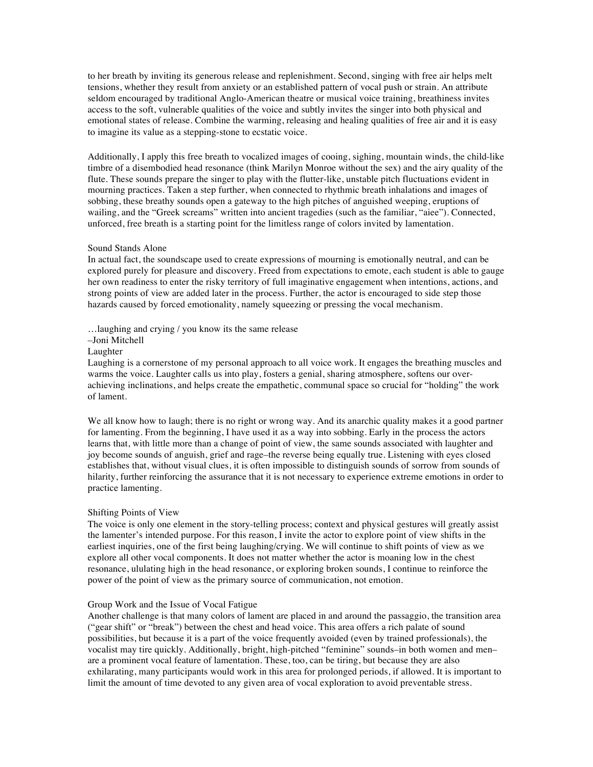to her breath by inviting its generous release and replenishment. Second, singing with free air helps melt tensions, whether they result from anxiety or an established pattern of vocal push or strain. An attribute seldom encouraged by traditional Anglo-American theatre or musical voice training, breathiness invites access to the soft, vulnerable qualities of the voice and subtly invites the singer into both physical and emotional states of release. Combine the warming, releasing and healing qualities of free air and it is easy to imagine its value as a stepping-stone to ecstatic voice.

Additionally, I apply this free breath to vocalized images of cooing, sighing, mountain winds, the child-like timbre of a disembodied head resonance (think Marilyn Monroe without the sex) and the airy quality of the flute. These sounds prepare the singer to play with the flutter-like, unstable pitch fluctuations evident in mourning practices. Taken a step further, when connected to rhythmic breath inhalations and images of sobbing, these breathy sounds open a gateway to the high pitches of anguished weeping, eruptions of wailing, and the "Greek screams" written into ancient tragedies (such as the familiar, "aiee"). Connected, unforced, free breath is a starting point for the limitless range of colors invited by lamentation.

#### Sound Stands Alone

In actual fact, the soundscape used to create expressions of mourning is emotionally neutral, and can be explored purely for pleasure and discovery. Freed from expectations to emote, each student is able to gauge her own readiness to enter the risky territory of full imaginative engagement when intentions, actions, and strong points of view are added later in the process. Further, the actor is encouraged to side step those hazards caused by forced emotionality, namely squeezing or pressing the vocal mechanism.

…laughing and crying / you know its the same release

## –Joni Mitchell

# Laughter

Laughing is a cornerstone of my personal approach to all voice work. It engages the breathing muscles and warms the voice. Laughter calls us into play, fosters a genial, sharing atmosphere, softens our overachieving inclinations, and helps create the empathetic, communal space so crucial for "holding" the work of lament.

We all know how to laugh; there is no right or wrong way. And its anarchic quality makes it a good partner for lamenting. From the beginning, I have used it as a way into sobbing. Early in the process the actors learns that, with little more than a change of point of view, the same sounds associated with laughter and joy become sounds of anguish, grief and rage–the reverse being equally true. Listening with eyes closed establishes that, without visual clues, it is often impossible to distinguish sounds of sorrow from sounds of hilarity, further reinforcing the assurance that it is not necessary to experience extreme emotions in order to practice lamenting.

#### Shifting Points of View

The voice is only one element in the story-telling process; context and physical gestures will greatly assist the lamenter's intended purpose. For this reason, I invite the actor to explore point of view shifts in the earliest inquiries, one of the first being laughing/crying. We will continue to shift points of view as we explore all other vocal components. It does not matter whether the actor is moaning low in the chest resonance, ululating high in the head resonance, or exploring broken sounds, I continue to reinforce the power of the point of view as the primary source of communication, not emotion.

#### Group Work and the Issue of Vocal Fatigue

Another challenge is that many colors of lament are placed in and around the passaggio, the transition area ("gear shift" or "break") between the chest and head voice. This area offers a rich palate of sound possibilities, but because it is a part of the voice frequently avoided (even by trained professionals), the vocalist may tire quickly. Additionally, bright, high-pitched "feminine" sounds–in both women and men– are a prominent vocal feature of lamentation. These, too, can be tiring, but because they are also exhilarating, many participants would work in this area for prolonged periods, if allowed. It is important to limit the amount of time devoted to any given area of vocal exploration to avoid preventable stress.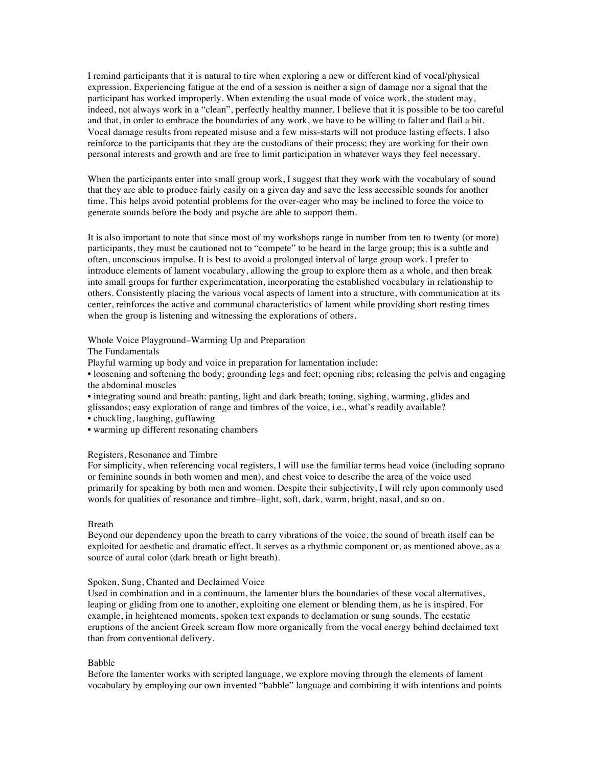I remind participants that it is natural to tire when exploring a new or different kind of vocal/physical expression. Experiencing fatigue at the end of a session is neither a sign of damage nor a signal that the participant has worked improperly. When extending the usual mode of voice work, the student may, indeed, not always work in a "clean", perfectly healthy manner. I believe that it is possible to be too careful and that, in order to embrace the boundaries of any work, we have to be willing to falter and flail a bit. Vocal damage results from repeated misuse and a few miss-starts will not produce lasting effects. I also reinforce to the participants that they are the custodians of their process; they are working for their own personal interests and growth and are free to limit participation in whatever ways they feel necessary.

When the participants enter into small group work, I suggest that they work with the vocabulary of sound that they are able to produce fairly easily on a given day and save the less accessible sounds for another time. This helps avoid potential problems for the over-eager who may be inclined to force the voice to generate sounds before the body and psyche are able to support them.

It is also important to note that since most of my workshops range in number from ten to twenty (or more) participants, they must be cautioned not to "compete" to be heard in the large group; this is a subtle and often, unconscious impulse. It is best to avoid a prolonged interval of large group work. I prefer to introduce elements of lament vocabulary, allowing the group to explore them as a whole, and then break into small groups for further experimentation, incorporating the established vocabulary in relationship to others. Consistently placing the various vocal aspects of lament into a structure, with communication at its center, reinforces the active and communal characteristics of lament while providing short resting times when the group is listening and witnessing the explorations of others.

# Whole Voice Playground–Warming Up and Preparation

The Fundamentals

Playful warming up body and voice in preparation for lamentation include:

• loosening and softening the body; grounding legs and feet; opening ribs; releasing the pelvis and engaging the abdominal muscles

• integrating sound and breath: panting, light and dark breath; toning, sighing, warming, glides and glissandos; easy exploration of range and timbres of the voice, i.e., what's readily available?

• chuckling, laughing, guffawing

• warming up different resonating chambers

## Registers, Resonance and Timbre

For simplicity, when referencing vocal registers, I will use the familiar terms head voice (including soprano or feminine sounds in both women and men), and chest voice to describe the area of the voice used primarily for speaking by both men and women. Despite their subjectivity, I will rely upon commonly used words for qualities of resonance and timbre–light, soft, dark, warm, bright, nasal, and so on.

## Breath

Beyond our dependency upon the breath to carry vibrations of the voice, the sound of breath itself can be exploited for aesthetic and dramatic effect. It serves as a rhythmic component or, as mentioned above, as a source of aural color (dark breath or light breath).

## Spoken, Sung, Chanted and Declaimed Voice

Used in combination and in a continuum, the lamenter blurs the boundaries of these vocal alternatives, leaping or gliding from one to another, exploiting one element or blending them, as he is inspired. For example, in heightened moments, spoken text expands to declamation or sung sounds. The ecstatic eruptions of the ancient Greek scream flow more organically from the vocal energy behind declaimed text than from conventional delivery.

## Babble

Before the lamenter works with scripted language, we explore moving through the elements of lament vocabulary by employing our own invented "babble" language and combining it with intentions and points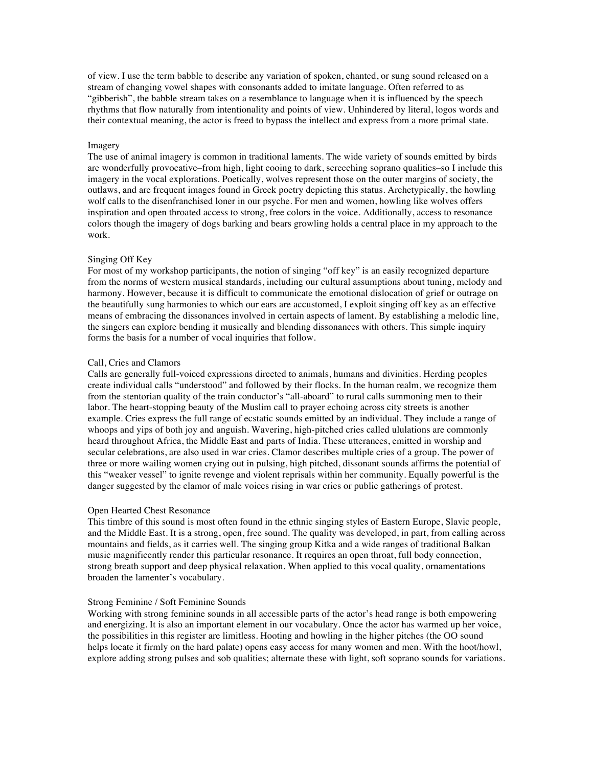of view. I use the term babble to describe any variation of spoken, chanted, or sung sound released on a stream of changing vowel shapes with consonants added to imitate language. Often referred to as "gibberish", the babble stream takes on a resemblance to language when it is influenced by the speech rhythms that flow naturally from intentionality and points of view. Unhindered by literal, logos words and their contextual meaning, the actor is freed to bypass the intellect and express from a more primal state.

#### Imagery

The use of animal imagery is common in traditional laments. The wide variety of sounds emitted by birds are wonderfully provocative–from high, light cooing to dark, screeching soprano qualities–so I include this imagery in the vocal explorations. Poetically, wolves represent those on the outer margins of society, the outlaws, and are frequent images found in Greek poetry depicting this status. Archetypically, the howling wolf calls to the disenfranchised loner in our psyche. For men and women, howling like wolves offers inspiration and open throated access to strong, free colors in the voice. Additionally, access to resonance colors though the imagery of dogs barking and bears growling holds a central place in my approach to the work.

## Singing Off Key

For most of my workshop participants, the notion of singing "off key" is an easily recognized departure from the norms of western musical standards, including our cultural assumptions about tuning, melody and harmony. However, because it is difficult to communicate the emotional dislocation of grief or outrage on the beautifully sung harmonies to which our ears are accustomed, I exploit singing off key as an effective means of embracing the dissonances involved in certain aspects of lament. By establishing a melodic line, the singers can explore bending it musically and blending dissonances with others. This simple inquiry forms the basis for a number of vocal inquiries that follow.

## Call, Cries and Clamors

Calls are generally full-voiced expressions directed to animals, humans and divinities. Herding peoples create individual calls "understood" and followed by their flocks. In the human realm, we recognize them from the stentorian quality of the train conductor's "all-aboard" to rural calls summoning men to their labor. The heart-stopping beauty of the Muslim call to prayer echoing across city streets is another example. Cries express the full range of ecstatic sounds emitted by an individual. They include a range of whoops and yips of both joy and anguish. Wavering, high-pitched cries called ululations are commonly heard throughout Africa, the Middle East and parts of India. These utterances, emitted in worship and secular celebrations, are also used in war cries. Clamor describes multiple cries of a group. The power of three or more wailing women crying out in pulsing, high pitched, dissonant sounds affirms the potential of this "weaker vessel" to ignite revenge and violent reprisals within her community. Equally powerful is the danger suggested by the clamor of male voices rising in war cries or public gatherings of protest.

#### Open Hearted Chest Resonance

This timbre of this sound is most often found in the ethnic singing styles of Eastern Europe, Slavic people, and the Middle East. It is a strong, open, free sound. The quality was developed, in part, from calling across mountains and fields, as it carries well. The singing group Kitka and a wide ranges of traditional Balkan music magnificently render this particular resonance. It requires an open throat, full body connection, strong breath support and deep physical relaxation. When applied to this vocal quality, ornamentations broaden the lamenter's vocabulary.

## Strong Feminine / Soft Feminine Sounds

Working with strong feminine sounds in all accessible parts of the actor's head range is both empowering and energizing. It is also an important element in our vocabulary. Once the actor has warmed up her voice, the possibilities in this register are limitless. Hooting and howling in the higher pitches (the OO sound helps locate it firmly on the hard palate) opens easy access for many women and men. With the hoot/howl, explore adding strong pulses and sob qualities; alternate these with light, soft soprano sounds for variations.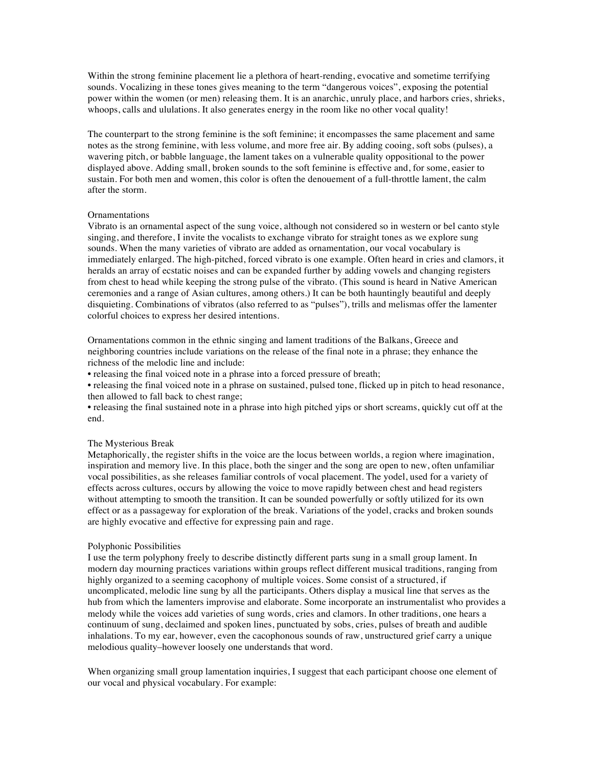Within the strong feminine placement lie a plethora of heart-rending, evocative and sometime terrifying sounds. Vocalizing in these tones gives meaning to the term "dangerous voices", exposing the potential power within the women (or men) releasing them. It is an anarchic, unruly place, and harbors cries, shrieks, whoops, calls and ululations. It also generates energy in the room like no other vocal quality!

The counterpart to the strong feminine is the soft feminine; it encompasses the same placement and same notes as the strong feminine, with less volume, and more free air. By adding cooing, soft sobs (pulses), a wavering pitch, or babble language, the lament takes on a vulnerable quality oppositional to the power displayed above. Adding small, broken sounds to the soft feminine is effective and, for some, easier to sustain. For both men and women, this color is often the denouement of a full-throttle lament, the calm after the storm.

## **Ornamentations**

Vibrato is an ornamental aspect of the sung voice, although not considered so in western or bel canto style singing, and therefore, I invite the vocalists to exchange vibrato for straight tones as we explore sung sounds. When the many varieties of vibrato are added as ornamentation, our vocal vocabulary is immediately enlarged. The high-pitched, forced vibrato is one example. Often heard in cries and clamors, it heralds an array of ecstatic noises and can be expanded further by adding vowels and changing registers from chest to head while keeping the strong pulse of the vibrato. (This sound is heard in Native American ceremonies and a range of Asian cultures, among others.) It can be both hauntingly beautiful and deeply disquieting. Combinations of vibratos (also referred to as "pulses"), trills and melismas offer the lamenter colorful choices to express her desired intentions.

Ornamentations common in the ethnic singing and lament traditions of the Balkans, Greece and neighboring countries include variations on the release of the final note in a phrase; they enhance the richness of the melodic line and include:

• releasing the final voiced note in a phrase into a forced pressure of breath;

• releasing the final voiced note in a phrase on sustained, pulsed tone, flicked up in pitch to head resonance, then allowed to fall back to chest range;

• releasing the final sustained note in a phrase into high pitched yips or short screams, quickly cut off at the end.

## The Mysterious Break

Metaphorically, the register shifts in the voice are the locus between worlds, a region where imagination, inspiration and memory live. In this place, both the singer and the song are open to new, often unfamiliar vocal possibilities, as she releases familiar controls of vocal placement. The yodel, used for a variety of effects across cultures, occurs by allowing the voice to move rapidly between chest and head registers without attempting to smooth the transition. It can be sounded powerfully or softly utilized for its own effect or as a passageway for exploration of the break. Variations of the yodel, cracks and broken sounds are highly evocative and effective for expressing pain and rage.

## Polyphonic Possibilities

I use the term polyphony freely to describe distinctly different parts sung in a small group lament. In modern day mourning practices variations within groups reflect different musical traditions, ranging from highly organized to a seeming cacophony of multiple voices. Some consist of a structured, if uncomplicated, melodic line sung by all the participants. Others display a musical line that serves as the hub from which the lamenters improvise and elaborate. Some incorporate an instrumentalist who provides a melody while the voices add varieties of sung words, cries and clamors. In other traditions, one hears a continuum of sung, declaimed and spoken lines, punctuated by sobs, cries, pulses of breath and audible inhalations. To my ear, however, even the cacophonous sounds of raw, unstructured grief carry a unique melodious quality–however loosely one understands that word.

When organizing small group lamentation inquiries, I suggest that each participant choose one element of our vocal and physical vocabulary. For example: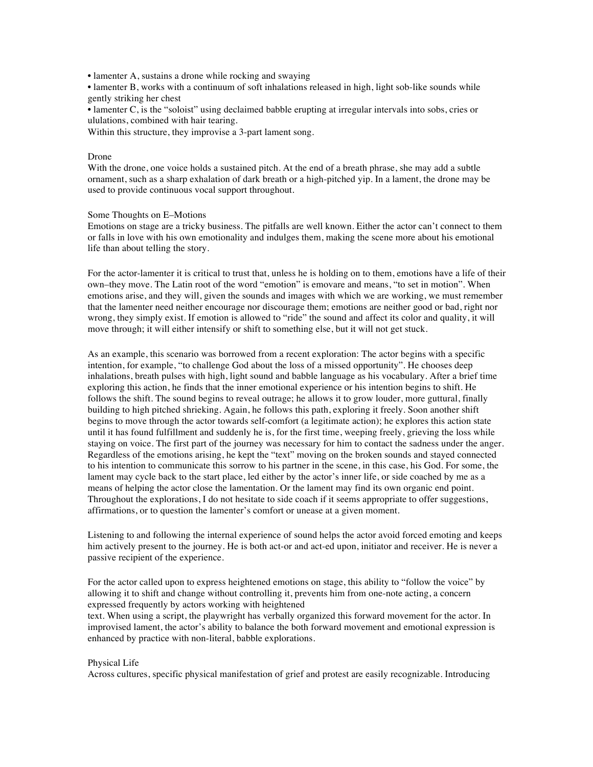• lamenter A, sustains a drone while rocking and swaying

• lamenter B, works with a continuum of soft inhalations released in high, light sob-like sounds while gently striking her chest

• lamenter C, is the "soloist" using declaimed babble erupting at irregular intervals into sobs, cries or ululations, combined with hair tearing.

Within this structure, they improvise a 3-part lament song.

### Drone

With the drone, one voice holds a sustained pitch. At the end of a breath phrase, she may add a subtle ornament, such as a sharp exhalation of dark breath or a high-pitched yip. In a lament, the drone may be used to provide continuous vocal support throughout.

Some Thoughts on E–Motions

Emotions on stage are a tricky business. The pitfalls are well known. Either the actor can't connect to them or falls in love with his own emotionality and indulges them, making the scene more about his emotional life than about telling the story.

For the actor-lamenter it is critical to trust that, unless he is holding on to them, emotions have a life of their own–they move. The Latin root of the word "emotion" is emovare and means, "to set in motion". When emotions arise, and they will, given the sounds and images with which we are working, we must remember that the lamenter need neither encourage nor discourage them; emotions are neither good or bad, right nor wrong, they simply exist. If emotion is allowed to "ride" the sound and affect its color and quality, it will move through; it will either intensify or shift to something else, but it will not get stuck.

As an example, this scenario was borrowed from a recent exploration: The actor begins with a specific intention, for example, "to challenge God about the loss of a missed opportunity". He chooses deep inhalations, breath pulses with high, light sound and babble language as his vocabulary. After a brief time exploring this action, he finds that the inner emotional experience or his intention begins to shift. He follows the shift. The sound begins to reveal outrage; he allows it to grow louder, more guttural, finally building to high pitched shrieking. Again, he follows this path, exploring it freely. Soon another shift begins to move through the actor towards self-comfort (a legitimate action); he explores this action state until it has found fulfillment and suddenly he is, for the first time, weeping freely, grieving the loss while staying on voice. The first part of the journey was necessary for him to contact the sadness under the anger. Regardless of the emotions arising, he kept the "text" moving on the broken sounds and stayed connected to his intention to communicate this sorrow to his partner in the scene, in this case, his God. For some, the lament may cycle back to the start place, led either by the actor's inner life, or side coached by me as a means of helping the actor close the lamentation. Or the lament may find its own organic end point. Throughout the explorations, I do not hesitate to side coach if it seems appropriate to offer suggestions, affirmations, or to question the lamenter's comfort or unease at a given moment.

Listening to and following the internal experience of sound helps the actor avoid forced emoting and keeps him actively present to the journey. He is both act-or and act-ed upon, initiator and receiver. He is never a passive recipient of the experience.

For the actor called upon to express heightened emotions on stage, this ability to "follow the voice" by allowing it to shift and change without controlling it, prevents him from one-note acting, a concern expressed frequently by actors working with heightened

text. When using a script, the playwright has verbally organized this forward movement for the actor. In improvised lament, the actor's ability to balance the both forward movement and emotional expression is enhanced by practice with non-literal, babble explorations.

## Physical Life

Across cultures, specific physical manifestation of grief and protest are easily recognizable. Introducing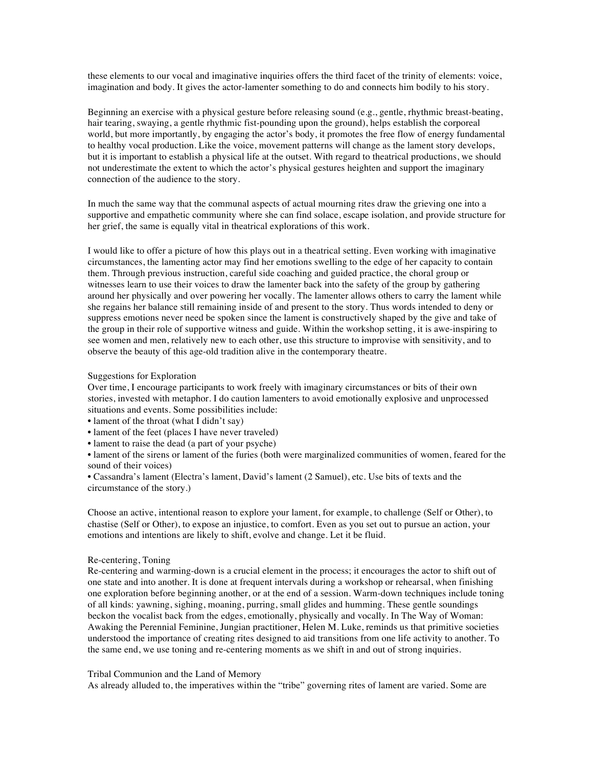these elements to our vocal and imaginative inquiries offers the third facet of the trinity of elements: voice, imagination and body. It gives the actor-lamenter something to do and connects him bodily to his story.

Beginning an exercise with a physical gesture before releasing sound (e.g., gentle, rhythmic breast-beating, hair tearing, swaying, a gentle rhythmic fist-pounding upon the ground), helps establish the corporeal world, but more importantly, by engaging the actor's body, it promotes the free flow of energy fundamental to healthy vocal production. Like the voice, movement patterns will change as the lament story develops, but it is important to establish a physical life at the outset. With regard to theatrical productions, we should not underestimate the extent to which the actor's physical gestures heighten and support the imaginary connection of the audience to the story.

In much the same way that the communal aspects of actual mourning rites draw the grieving one into a supportive and empathetic community where she can find solace, escape isolation, and provide structure for her grief, the same is equally vital in theatrical explorations of this work.

I would like to offer a picture of how this plays out in a theatrical setting. Even working with imaginative circumstances, the lamenting actor may find her emotions swelling to the edge of her capacity to contain them. Through previous instruction, careful side coaching and guided practice, the choral group or witnesses learn to use their voices to draw the lamenter back into the safety of the group by gathering around her physically and over powering her vocally. The lamenter allows others to carry the lament while she regains her balance still remaining inside of and present to the story. Thus words intended to deny or suppress emotions never need be spoken since the lament is constructively shaped by the give and take of the group in their role of supportive witness and guide. Within the workshop setting, it is awe-inspiring to see women and men, relatively new to each other, use this structure to improvise with sensitivity, and to observe the beauty of this age-old tradition alive in the contemporary theatre.

### Suggestions for Exploration

Over time, I encourage participants to work freely with imaginary circumstances or bits of their own stories, invested with metaphor. I do caution lamenters to avoid emotionally explosive and unprocessed situations and events. Some possibilities include:

• lament of the throat (what I didn't say)

- lament of the feet (places I have never traveled)
- lament to raise the dead (a part of your psyche)

• lament of the sirens or lament of the furies (both were marginalized communities of women, feared for the sound of their voices)

• Cassandra's lament (Electra's lament, David's lament (2 Samuel), etc. Use bits of texts and the circumstance of the story.)

Choose an active, intentional reason to explore your lament, for example, to challenge (Self or Other), to chastise (Self or Other), to expose an injustice, to comfort. Even as you set out to pursue an action, your emotions and intentions are likely to shift, evolve and change. Let it be fluid.

## Re-centering, Toning

Re-centering and warming-down is a crucial element in the process; it encourages the actor to shift out of one state and into another. It is done at frequent intervals during a workshop or rehearsal, when finishing one exploration before beginning another, or at the end of a session. Warm-down techniques include toning of all kinds: yawning, sighing, moaning, purring, small glides and humming. These gentle soundings beckon the vocalist back from the edges, emotionally, physically and vocally. In The Way of Woman: Awaking the Perennial Feminine, Jungian practitioner, Helen M. Luke, reminds us that primitive societies understood the importance of creating rites designed to aid transitions from one life activity to another. To the same end, we use toning and re-centering moments as we shift in and out of strong inquiries.

## Tribal Communion and the Land of Memory

As already alluded to, the imperatives within the "tribe" governing rites of lament are varied. Some are